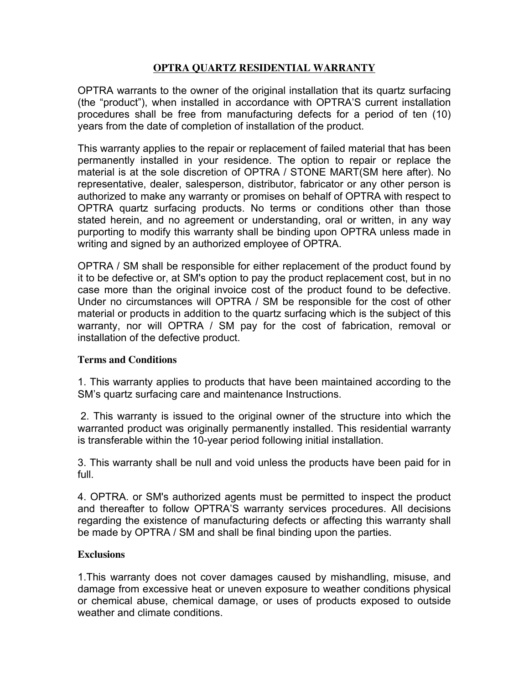## **OPTRA QUARTZ RESIDENTIAL WARRANTY**

OPTRA warrants to the owner of the original installation that its quartz surfacing (the "product"), when installed in accordance with OPTRA'S current installation procedures shall be free from manufacturing defects for a period of ten (10) years from the date of completion of installation of the product.

This warranty applies to the repair or replacement of failed material that has been permanently installed in your residence. The option to repair or replace the material is at the sole discretion of OPTRA / STONE MART(SM here after). No representative, dealer, salesperson, distributor, fabricator or any other person is authorized to make any warranty or promises on behalf of OPTRA with respect to OPTRA quartz surfacing products. No terms or conditions other than those stated herein, and no agreement or understanding, oral or written, in any way purporting to modify this warranty shall be binding upon OPTRA unless made in writing and signed by an authorized employee of OPTRA.

OPTRA / SM shall be responsible for either replacement of the product found by it to be defective or, at SM's option to pay the product replacement cost, but in no case more than the original invoice cost of the product found to be defective. Under no circumstances will OPTRA / SM be responsible for the cost of other material or products in addition to the quartz surfacing which is the subject of this warranty, nor will OPTRA / SM pay for the cost of fabrication, removal or installation of the defective product.

## **Terms and Conditions**

1. This warranty applies to products that have been maintained according to the SM's quartz surfacing care and maintenance Instructions.

2. This warranty is issued to the original owner of the structure into which the warranted product was originally permanently installed. This residential warranty is transferable within the 10-year period following initial installation.

3. This warranty shall be null and void unless the products have been paid for in full.

4. OPTRA. or SM's authorized agents must be permitted to inspect the product and thereafter to follow OPTRA'S warranty services procedures. All decisions regarding the existence of manufacturing defects or affecting this warranty shall be made by OPTRA / SM and shall be final binding upon the parties.

## **Exclusions**

1.This warranty does not cover damages caused by mishandling, misuse, and damage from excessive heat or uneven exposure to weather conditions physical or chemical abuse, chemical damage, or uses of products exposed to outside weather and climate conditions.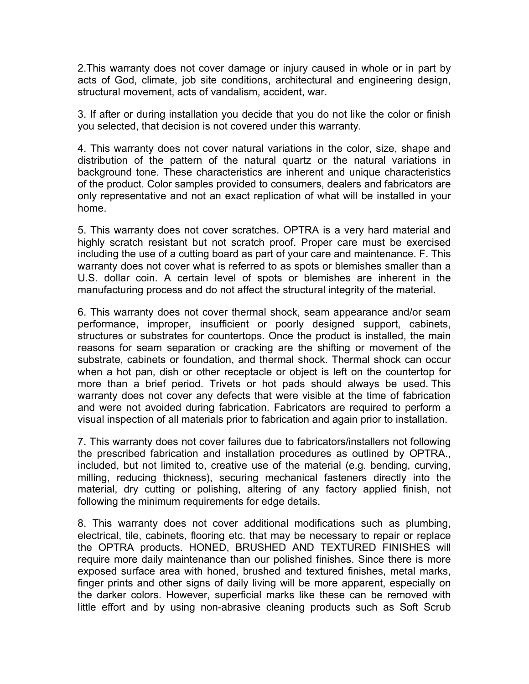2.This warranty does not cover damage or injury caused in whole or in part by acts of God, climate, job site conditions, architectural and engineering design, structural movement, acts of vandalism, accident, war.

3. If after or during installation you decide that you do not like the color or finish you selected, that decision is not covered under this warranty.

4. This warranty does not cover natural variations in the color, size, shape and distribution of the pattern of the natural quartz or the natural variations in background tone. These characteristics are inherent and unique characteristics of the product. Color samples provided to consumers, dealers and fabricators are only representative and not an exact replication of what will be installed in your home.

5. This warranty does not cover scratches. OPTRA is a very hard material and highly scratch resistant but not scratch proof. Proper care must be exercised including the use of a cutting board as part of your care and maintenance. F. This warranty does not cover what is referred to as spots or blemishes smaller than a U.S. dollar coin. A certain level of spots or blemishes are inherent in the manufacturing process and do not affect the structural integrity of the material.

6. This warranty does not cover thermal shock, seam appearance and/or seam performance, improper, insufficient or poorly designed support, cabinets, structures or substrates for countertops. Once the product is installed, the main reasons for seam separation or cracking are the shifting or movement of the substrate, cabinets or foundation, and thermal shock. Thermal shock can occur when a hot pan, dish or other receptacle or object is left on the countertop for more than a brief period. Trivets or hot pads should always be used. This warranty does not cover any defects that were visible at the time of fabrication and were not avoided during fabrication. Fabricators are required to perform a visual inspection of all materials prior to fabrication and again prior to installation.

7. This warranty does not cover failures due to fabricators/installers not following the prescribed fabrication and installation procedures as outlined by OPTRA., included, but not limited to, creative use of the material (e.g. bending, curving, milling, reducing thickness), securing mechanical fasteners directly into the material, dry cutting or polishing, altering of any factory applied finish, not following the minimum requirements for edge details.

8. This warranty does not cover additional modifications such as plumbing, electrical, tile, cabinets, flooring etc. that may be necessary to repair or replace the OPTRA products. HONED, BRUSHED AND TEXTURED FINISHES will require more daily maintenance than our polished finishes. Since there is more exposed surface area with honed, brushed and textured finishes, metal marks, finger prints and other signs of daily living will be more apparent, especially on the darker colors. However, superficial marks like these can be removed with little effort and by using non-abrasive cleaning products such as Soft Scrub